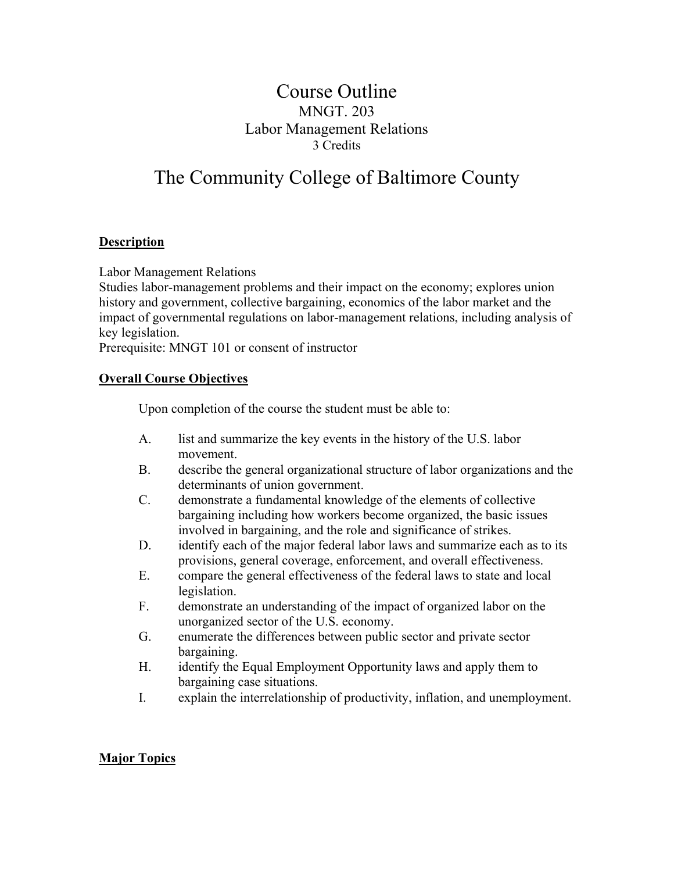## Course Outline MNGT. 203 Labor Management Relations 3 Credits

# The Community College of Baltimore County

#### **Description**

Labor Management Relations

Studies labor-management problems and their impact on the economy; explores union history and government, collective bargaining, economics of the labor market and the impact of governmental regulations on labor-management relations, including analysis of key legislation.

Prerequisite: MNGT 101 or consent of instructor

#### **Overall Course Objectives**

Upon completion of the course the student must be able to:

- A. list and summarize the key events in the history of the U.S. labor movement.
- B. describe the general organizational structure of labor organizations and the determinants of union government.
- C. demonstrate a fundamental knowledge of the elements of collective bargaining including how workers become organized, the basic issues involved in bargaining, and the role and significance of strikes.
- D. identify each of the major federal labor laws and summarize each as to its provisions, general coverage, enforcement, and overall effectiveness.
- E. compare the general effectiveness of the federal laws to state and local legislation.
- F. demonstrate an understanding of the impact of organized labor on the unorganized sector of the U.S. economy.
- G. enumerate the differences between public sector and private sector bargaining.
- H. identify the Equal Employment Opportunity laws and apply them to bargaining case situations.
- I. explain the interrelationship of productivity, inflation, and unemployment.

#### **Major Topics**